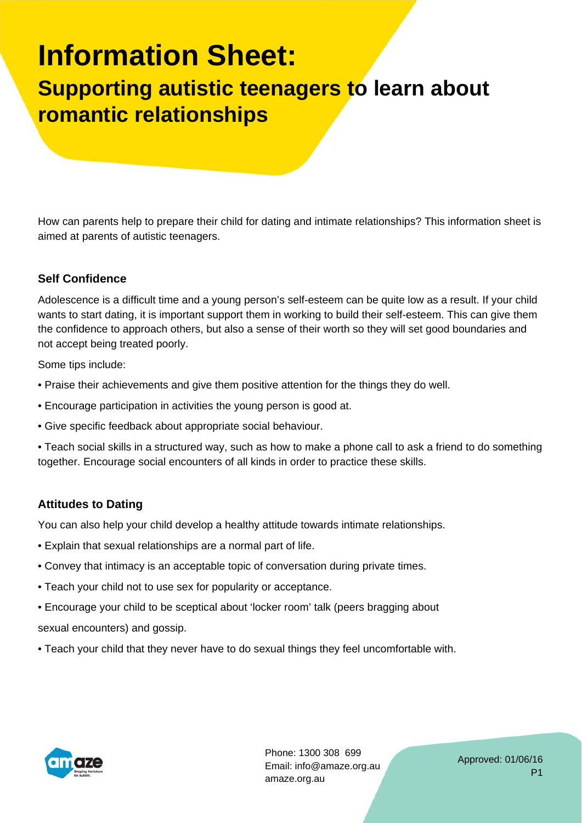# **Information Sheet:**

# **Supporting autistic teenagers to learn about romantic relationships**

How can parents help to prepare their child for dating and intimate relationships? This information sheet is aimed at parents of autistic teenagers.

### **Self Confidence**

Adolescence is a difficult time and a young person's self-esteem can be quite low as a result. If your child wants to start dating, it is important support them in working to build their self-esteem. This can give them the confidence to approach others, but also a sense of their worth so they will set good boundaries and not accept being treated poorly.

Some tips include:

- Praise their achievements and give them positive attention for the things they do well.
- Encourage participation in activities the young person is good at.
- Give specific feedback about appropriate social behaviour.
- Teach social skills in a structured way, such as how to make a phone call to ask a friend to do something together. Encourage social encounters of all kinds in order to practice these skills.

### **Attitudes to Dating**

You can also help your child develop a healthy attitude towards intimate relationships.

- Explain that sexual relationships are a normal part of life.
- Convey that intimacy is an acceptable topic of conversation during private times.
- Teach your child not to use sex for popularity or acceptance.
- Encourage your child to be sceptical about 'locker room' talk (peers bragging about sexual encounters) and gossip.
- Teach your child that they never have to do sexual things they feel uncomfortable with.



Phone: 1300 308 699 Email: info@amaze.org.au amaze.org.au